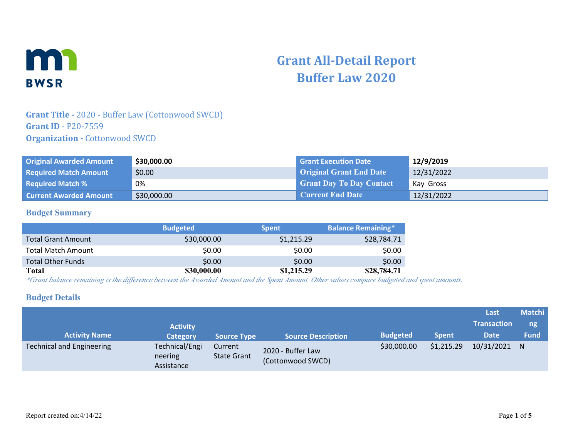

# **Grant All-Detail Report Buffer Law 2020**

### **Grant Title -** 2020 - Buffer Law (Cottonwood SWCD) **Grant ID** - P20-7559 **Organization - Cottonwood SWCD**

| <b>Original Awarded Amount</b> | \$30,000.00 | <b>Grant Execution Date</b>     | 12/9/2019  |
|--------------------------------|-------------|---------------------------------|------------|
| <b>Required Match Amount</b>   | \$0.00      | <b>Original Grant End Date</b>  | 12/31/2022 |
| <b>Required Match %</b>        | 0%          | <b>Grant Day To Day Contact</b> | Kay Gross  |
| <b>Current Awarded Amount</b>  | \$30,000.00 | <b>Current End Date</b>         | 12/31/2022 |

#### **Budget Summary**

|                           | <b>Budgeted</b> | <b>Spent</b> | <b>Balance Remaining*</b> |
|---------------------------|-----------------|--------------|---------------------------|
| <b>Total Grant Amount</b> | \$30,000.00     | \$1,215.29   | \$28,784.71               |
| <b>Total Match Amount</b> | \$0.00          | \$0.00       | \$0.00                    |
| <b>Total Other Funds</b>  | \$0.00          | \$0.00       | \$0.00                    |
| <b>Total</b>              | \$30,000.00     | \$1,215.29   | \$28,784.71               |

*\*Grant balance remaining is the difference between the Awarded Amount and the Spent Amount. Other values compare budgeted and spent amounts.*

#### **Budget Details**

|                           |                                         |                               |                                        |                 |              | Last               | <b>Matchi</b> |
|---------------------------|-----------------------------------------|-------------------------------|----------------------------------------|-----------------|--------------|--------------------|---------------|
|                           | <b>Activity</b>                         |                               |                                        |                 |              | <b>Transaction</b> | ng            |
| <b>Activity Name</b>      | <b>Category</b>                         | <b>Source Type</b>            | <b>Source Description</b>              | <b>Budgeted</b> | <b>Spent</b> | <b>Date</b>        | <b>Fund</b>   |
| Technical and Engineering | Technical/Engi<br>neering<br>Assistance | Current<br><b>State Grant</b> | 2020 - Buffer Law<br>(Cottonwood SWCD) | \$30,000.00     | \$1,215.29   | 10/31/2021         | N             |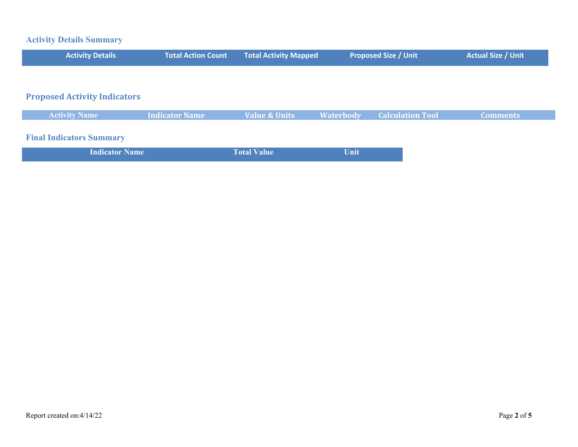## **Activity Details Summary**

| <b>Activity Details</b>             | <b>Total Action Count</b> | <b>Total Activity Mapped</b> |                  | <b>Proposed Size / Unit</b> | <b>Actual Size / Unit</b> |
|-------------------------------------|---------------------------|------------------------------|------------------|-----------------------------|---------------------------|
|                                     |                           |                              |                  |                             |                           |
| <b>Proposed Activity Indicators</b> |                           |                              |                  |                             |                           |
| <b>Activity Name</b>                | <b>Indicator Name</b>     | <b>Value &amp; Units</b>     | <b>Waterbody</b> | <b>Calculation Tool</b>     | <b>Comments</b>           |
| <b>Final Indicators Summary</b>     |                           |                              |                  |                             |                           |
| <b>Indicator Name</b>               |                           | <b>Total Value</b>           | Unit             |                             |                           |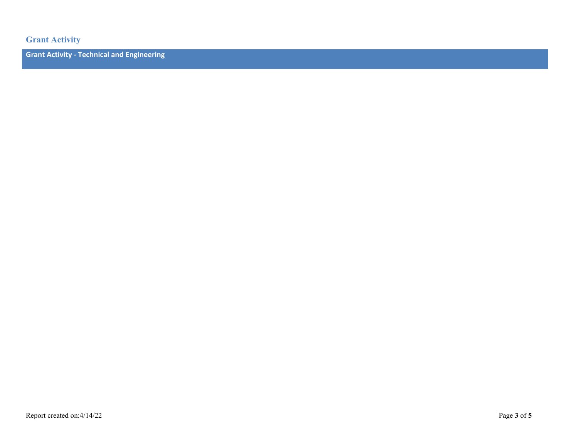**Grant Activity**

**Grant Activity - Technical and Engineering**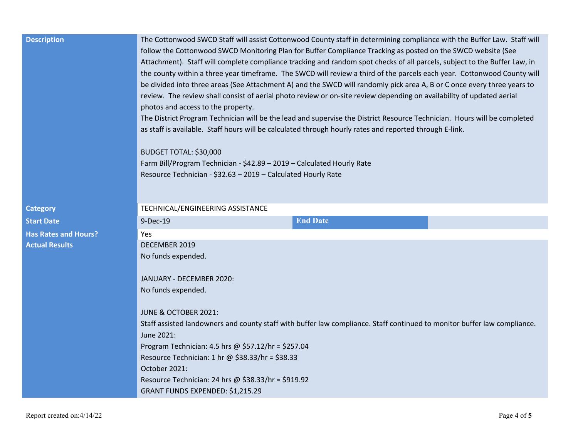| <b>Description</b>          | The Cottonwood SWCD Staff will assist Cottonwood County staff in determining compliance with the Buffer Law. Staff will<br>follow the Cottonwood SWCD Monitoring Plan for Buffer Compliance Tracking as posted on the SWCD website (See<br>Attachment). Staff will complete compliance tracking and random spot checks of all parcels, subject to the Buffer Law, in<br>the county within a three year timeframe. The SWCD will review a third of the parcels each year. Cottonwood County will<br>be divided into three areas (See Attachment A) and the SWCD will randomly pick area A, B or C once every three years to<br>review. The review shall consist of aerial photo review or on-site review depending on availability of updated aerial<br>photos and access to the property.<br>The District Program Technician will be the lead and supervise the District Resource Technician. Hours will be completed<br>as staff is available. Staff hours will be calculated through hourly rates and reported through E-link.<br>BUDGET TOTAL: \$30,000<br>Farm Bill/Program Technician - \$42.89 - 2019 - Calculated Hourly Rate<br>Resource Technician - \$32.63 - 2019 - Calculated Hourly Rate |                 |  |  |  |
|-----------------------------|-------------------------------------------------------------------------------------------------------------------------------------------------------------------------------------------------------------------------------------------------------------------------------------------------------------------------------------------------------------------------------------------------------------------------------------------------------------------------------------------------------------------------------------------------------------------------------------------------------------------------------------------------------------------------------------------------------------------------------------------------------------------------------------------------------------------------------------------------------------------------------------------------------------------------------------------------------------------------------------------------------------------------------------------------------------------------------------------------------------------------------------------------------------------------------------------------------|-----------------|--|--|--|
| <b>Category</b>             | TECHNICAL/ENGINEERING ASSISTANCE                                                                                                                                                                                                                                                                                                                                                                                                                                                                                                                                                                                                                                                                                                                                                                                                                                                                                                                                                                                                                                                                                                                                                                      |                 |  |  |  |
| <b>Start Date</b>           | 9-Dec-19                                                                                                                                                                                                                                                                                                                                                                                                                                                                                                                                                                                                                                                                                                                                                                                                                                                                                                                                                                                                                                                                                                                                                                                              | <b>End Date</b> |  |  |  |
| <b>Has Rates and Hours?</b> | Yes                                                                                                                                                                                                                                                                                                                                                                                                                                                                                                                                                                                                                                                                                                                                                                                                                                                                                                                                                                                                                                                                                                                                                                                                   |                 |  |  |  |
| <b>Actual Results</b>       | DECEMBER 2019                                                                                                                                                                                                                                                                                                                                                                                                                                                                                                                                                                                                                                                                                                                                                                                                                                                                                                                                                                                                                                                                                                                                                                                         |                 |  |  |  |
|                             | No funds expended.<br>JANUARY - DECEMBER 2020:<br>No funds expended.                                                                                                                                                                                                                                                                                                                                                                                                                                                                                                                                                                                                                                                                                                                                                                                                                                                                                                                                                                                                                                                                                                                                  |                 |  |  |  |
|                             | JUNE & OCTOBER 2021:                                                                                                                                                                                                                                                                                                                                                                                                                                                                                                                                                                                                                                                                                                                                                                                                                                                                                                                                                                                                                                                                                                                                                                                  |                 |  |  |  |
|                             | Staff assisted landowners and county staff with buffer law compliance. Staff continued to monitor buffer law compliance.<br>June 2021:                                                                                                                                                                                                                                                                                                                                                                                                                                                                                                                                                                                                                                                                                                                                                                                                                                                                                                                                                                                                                                                                |                 |  |  |  |
|                             | Program Technician: 4.5 hrs @ \$57.12/hr = \$257.04                                                                                                                                                                                                                                                                                                                                                                                                                                                                                                                                                                                                                                                                                                                                                                                                                                                                                                                                                                                                                                                                                                                                                   |                 |  |  |  |
|                             | Resource Technician: 1 hr @ \$38.33/hr = \$38.33                                                                                                                                                                                                                                                                                                                                                                                                                                                                                                                                                                                                                                                                                                                                                                                                                                                                                                                                                                                                                                                                                                                                                      |                 |  |  |  |
|                             | October 2021:                                                                                                                                                                                                                                                                                                                                                                                                                                                                                                                                                                                                                                                                                                                                                                                                                                                                                                                                                                                                                                                                                                                                                                                         |                 |  |  |  |
|                             | Resource Technician: 24 hrs @ \$38.33/hr = \$919.92                                                                                                                                                                                                                                                                                                                                                                                                                                                                                                                                                                                                                                                                                                                                                                                                                                                                                                                                                                                                                                                                                                                                                   |                 |  |  |  |
|                             | GRANT FUNDS EXPENDED: \$1,215.29                                                                                                                                                                                                                                                                                                                                                                                                                                                                                                                                                                                                                                                                                                                                                                                                                                                                                                                                                                                                                                                                                                                                                                      |                 |  |  |  |